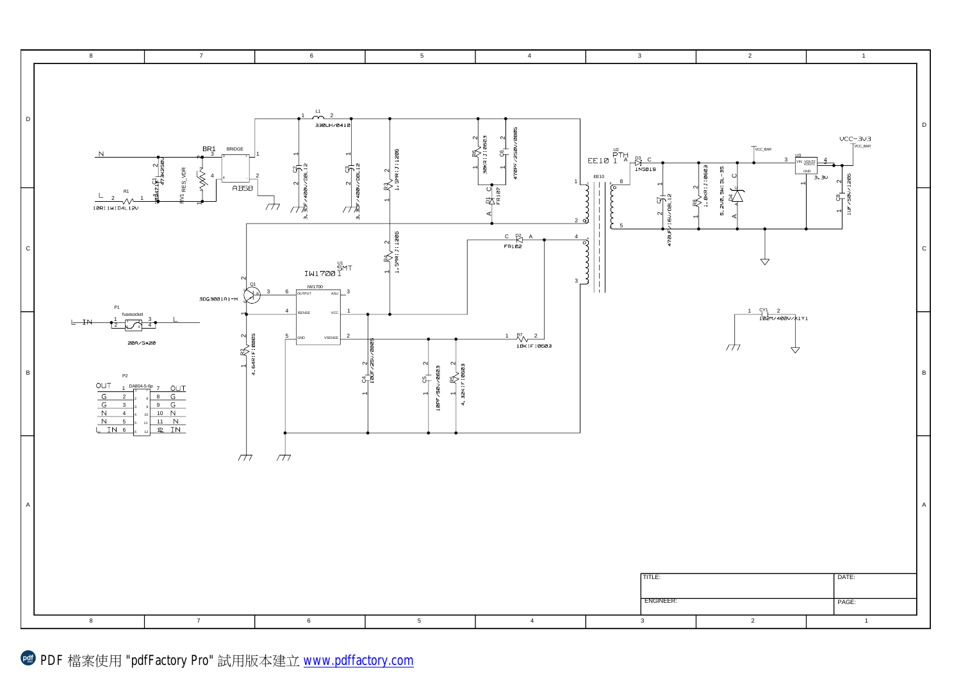